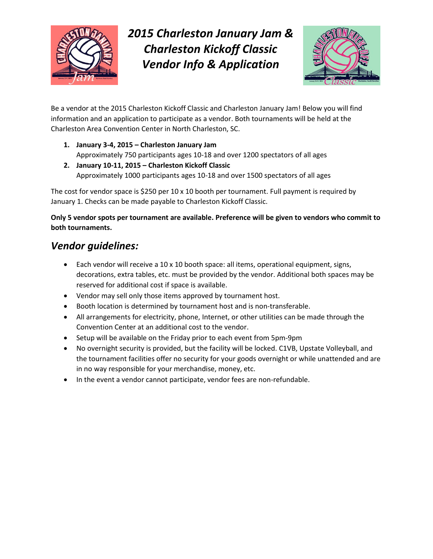

*2015 Charleston January Jam & Charleston Kickoff Classic Vendor Info & Application*



Be a vendor at the 2015 Charleston Kickoff Classic and Charleston January Jam! Below you will find information and an application to participate as a vendor. Both tournaments will be held at the Charleston Area Convention Center in North Charleston, SC.

- **1. January 3-4, 2015 – Charleston January Jam** Approximately 750 participants ages 10-18 and over 1200 spectators of all ages
- **2. January 10-11, 2015 – Charleston Kickoff Classic** Approximately 1000 participants ages 10-18 and over 1500 spectators of all ages

The cost for vendor space is \$250 per 10 x 10 booth per tournament. Full payment is required by January 1. Checks can be made payable to Charleston Kickoff Classic.

## **Only 5 vendor spots per tournament are available. Preference will be given to vendors who commit to both tournaments.**

## *Vendor guidelines:*

- $\bullet$  Each vendor will receive a 10 x 10 booth space: all items, operational equipment, signs, decorations, extra tables, etc. must be provided by the vendor. Additional both spaces may be reserved for additional cost if space is available.
- Vendor may sell only those items approved by tournament host.
- Booth location is determined by tournament host and is non-transferable.
- All arrangements for electricity, phone, Internet, or other utilities can be made through the Convention Center at an additional cost to the vendor.
- Setup will be available on the Friday prior to each event from 5pm-9pm
- No overnight security is provided, but the facility will be locked. C1VB, Upstate Volleyball, and the tournament facilities offer no security for your goods overnight or while unattended and are in no way responsible for your merchandise, money, etc.
- In the event a vendor cannot participate, vendor fees are non-refundable.